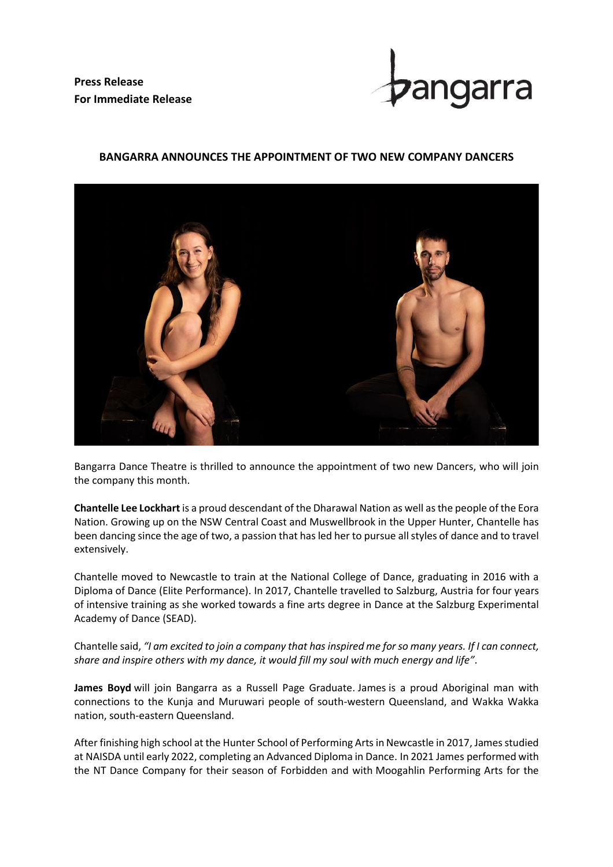**Press Release For Immediate Release**



## **BANGARRA ANNOUNCES THE APPOINTMENT OF TWO NEW COMPANY DANCERS**



Bangarra Dance Theatre is thrilled to announce the appointment of two new Dancers, who will join the company this month.

**Chantelle Lee Lockhart** is a proud descendant of the Dharawal Nation as well as the people of the Eora Nation. Growing up on the NSW Central Coast and Muswellbrook in the Upper Hunter, Chantelle has been dancing since the age of two, a passion that has led her to pursue all styles of dance and to travel extensively.

Chantelle moved to Newcastle to train at the National College of Dance, graduating in 2016 with a Diploma of Dance (Elite Performance). In 2017, Chantelle travelled to Salzburg, Austria for four years of intensive training as she worked towards a fine arts degree in Dance at the Salzburg Experimental Academy of Dance (SEAD).

Chantelle said, *"I am excited to join a company that has inspired me for so many years. If I can connect, share and inspire others with my dance, it would fill my soul with much energy and life"*.

**James Boyd** will join Bangarra as a Russell Page Graduate. James is a proud Aboriginal man with connections to the Kunja and Muruwari people of south-western Queensland, and Wakka Wakka nation, south-eastern Queensland.

After finishing high school at the Hunter School of Performing Arts in Newcastle in 2017, James studied at NAISDA until early 2022, completing an Advanced Diploma in Dance. In 2021 James performed with the NT Dance Company for their season of Forbidden and with Moogahlin Performing Arts for the